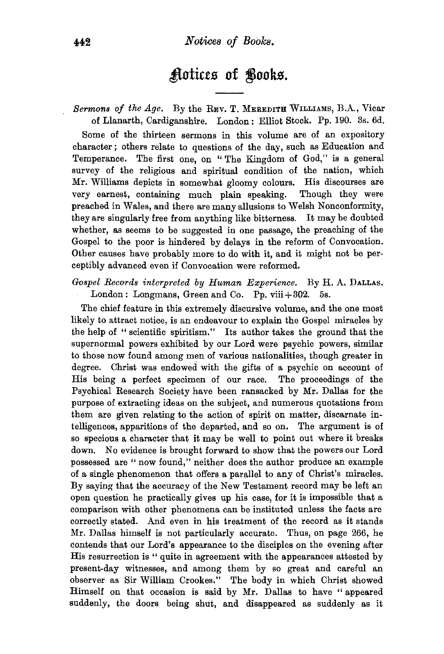## ~otke.s **of** ~ook.s.

Sermons of the Age. By the REV. T. MEREDITH WILLIAMS, B.A., Vicar of Llanarth, Cardiganshire. London : Elliot Stock. Pp. 190. 3s. 6d. Some of the thirteen sermons in this volume are of an expository character; others relate to questions of the day, such as Education and Temperance. The first one, on "The Kingdom of God," is a general survey of the religious and spiritual condition of the nation, which Mr. Williams depicts in somewhat gloomy colours. His discourses are very earnest, containing much plain speaking. Though they were preached in Wales, and there are many allusions to Welsh Nonconformity, they are singularly free from anything like bitterness. It may be doubted whether, as seems to be suggested in one passage, the preaching of the Gospel to the poor is hindered by delays in the reform of Convocation. Other causes have probably more to do with it, and it might not be perceptibly advanced even if Convocation were reformed.

*Gospel Records interpreted by Human Experience.* By H. A. DALLAS. London: Longmans, Green and Co. Pp. viii $+302.$  5s.

The chief feature in this extremely discursive volume, and the one most likely to attract notice, is an endeavour to explain the Gospel miracles by the help of "scientific spiritism." Its author takes the ground that the supernormal powers exhibited by our Lord were psychic powers, similar to those now found among men of various nationalities, though greater in degree. Christ was endowed with the gifts of a psychic on account of His being a perfect specimen of our race. The proceedings of the Psychical Research Society have been ransacked by Mr. Dallas for the purpose of extracting ideas on the subject, and numerous quotations from them are given relating to the action of spirit on matter, discarnate intelligences, apparitions of the departed, and so on. The argument is of so specious a character that it may be well to point out where it breaks down. No evidence is brought forward to show that the powers our Lord possessed are "now found," neither does the author produce an example of a single phenomenon that offers a parallel to any of Christ's miracles. By saying that the accuracy of the New Testament record may be left an open question he practically gives up his case, for it is impossible that a comparison with other phenomena can be instituted unless the facts are correctly stated. And even in his treatment of the record as it stands Mr. Dallas himself is not particularly accurate. Thus, on page 266, he contends that our Lord's appearance to the disciples on the evening after His resurrection is " quite in agreement with the appearances attested by present-day witnesses, and among them by so great and careful an observer as Sir William Crookes." The body in which Christ showed Himself on that occasion is said by Mr. Dallas to have " appeared suddenly, the doors being shut, and disappeared as suddenly as it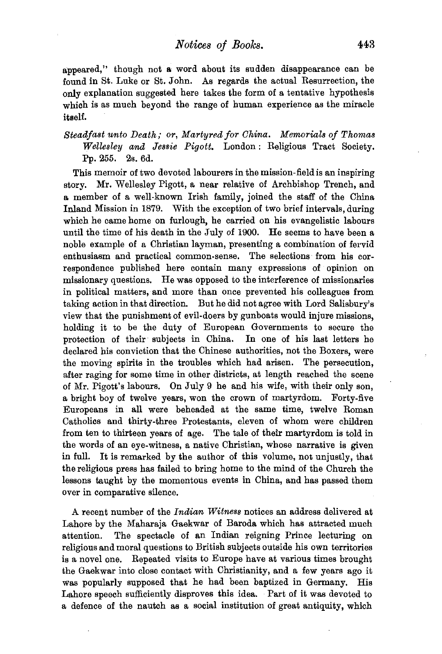appeared," though not a word about its sudden disappearance can be found in St. Luke or St. John. As regards the actual Resurrection, the only explanation suggested here takes the form of a tentative hypothesis which is as much beyond the range of human experience as the miracle itself.

*Steadfast unto Death; or, Martyred for China. Memorials of Thomas Wellesley and Jessie Pigott.* London: Religious Tract Society. Pp. 255. 2s. 6d.

This memoir of two devoted labourers in the mission-field is an inspiring story. Mr. Wellesley Pigott, a near relative of Archbishop Trench, and a member of a well-known Irish family, joined the staff of the China Inland Mission in 1879. With the exception of two brief intervals, during which he came home on furlough, he carried on his evangelistic labours until the time of his death in the July of 1900. He seems to have been a noble example of a Christian layman, presenting a combination of fervid enthusiasm and practical common-sense. The selections· from his correspondence published here contain many expressions of opinion on missionary questions. He was opposed to the interference of missionaries in political matters, and more than once prevented his colleagues from taking action in that direction. But he did not agree with Lord Salisbury's view that the punishment of evil-doers by gunboats would injure missions, holding it to be the duty of European Governments to secure the protection of their subjects in China. In one of his last letters he declared his conviction that the Chinese authorities, not the Boxers, were the moving spirits in the troubles which had arisen. The persecution, after raging for some time in other districts, at length reached the scene of Mr. Pigott's labours. On July 9 he and his wife, with their only son, a bright boy of twelve years, won the crown of martyrdom. Forty-five Europeans in all were beheaded at the same time, twelve Roman Catholics and thirty-three Protestants, eleven of whom were children from ten to thirteen years of age. The tale of their martyrdom is told in the words of an eye-witness, a native Christian, whose narrative is given in full. It is remarked by the author of this volume, not unjustly, that the religious press has failed to bring home to the mind of the Church the lessons taught by the momentous events in China, and has passed them over in comparative silence.

A recent number of the *Indian Witness* notices an address delivered at Lahore by the Maharaja Gaekwar of Baroda which has attracted much attention. The spectacle of an Indian reigning Prince lecturing on religious and moral questions to British subjects outside his own territories is a novel one. Repeated visits to Europe have at various times brought the Gaekwar into close contact with Christianity, and a few years ago it was popularly supposed that he had been baptized in Germany. His Lahore speech sufficiently disproves this idea. Part of it was devoted to a defence of the nautch as a social institution of great antiquity, which